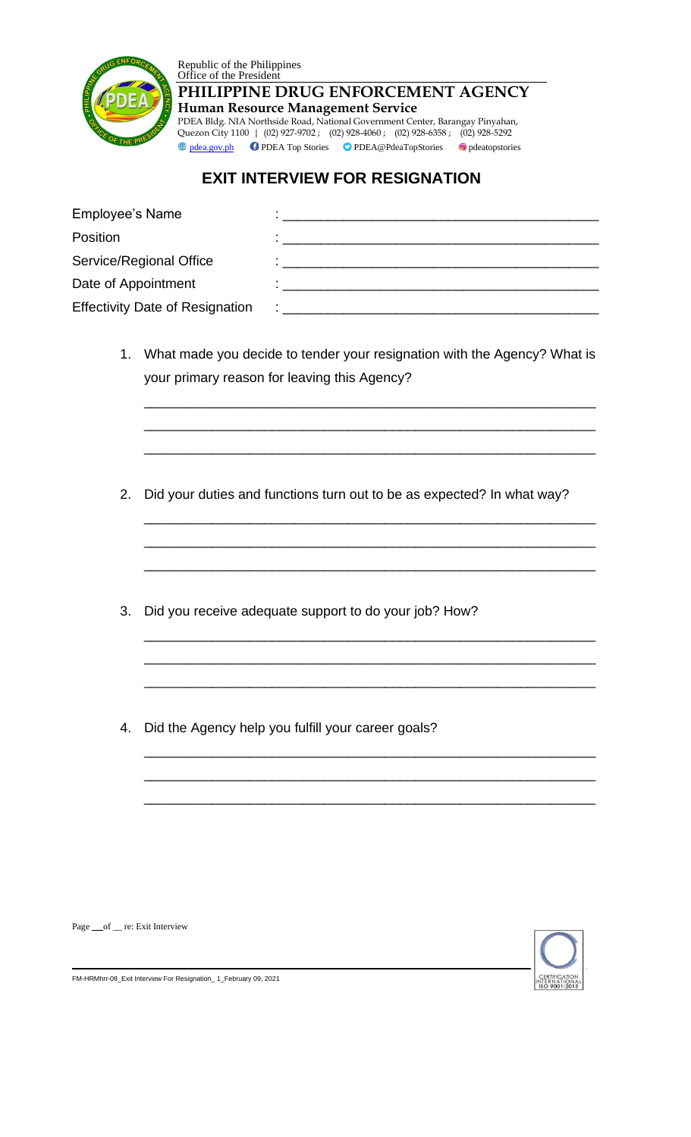



**PHILIPPINE DRUG ENFORCEMENT AGENCY Human Resource Management Service** PDEA Bldg. NIA Northside Road, National Government Center, Barangay Pinyahan, Quezon City 1100 | (02) 927-9702 ; (02) 928-4060 ; (02) 928-6358 ; (02) 928-5292

**ight PDEA** Top Stories **PDEA@PdeaTopStories O**pdeatopstories

## **EXIT INTERVIEW FOR RESIGNATION**

| <b>Employee's Name</b>                 |    |
|----------------------------------------|----|
| Position                               |    |
| Service/Regional Office                |    |
| Date of Appointment                    |    |
| <b>Effectivity Date of Resignation</b> | ٠. |

1. What made you decide to tender your resignation with the Agency? What is your primary reason for leaving this Agency?

\_\_\_\_\_\_\_\_\_\_\_\_\_\_\_\_\_\_\_\_\_\_\_\_\_\_\_\_\_\_\_\_\_\_\_\_\_\_\_\_\_\_\_\_\_\_\_\_\_\_\_\_\_\_\_\_\_\_\_\_

\_\_\_\_\_\_\_\_\_\_\_\_\_\_\_\_\_\_\_\_\_\_\_\_\_\_\_\_\_\_\_\_\_\_\_\_\_\_\_\_\_\_\_\_\_\_\_\_\_\_\_\_\_\_\_\_\_\_\_\_

\_\_\_\_\_\_\_\_\_\_\_\_\_\_\_\_\_\_\_\_\_\_\_\_\_\_\_\_\_\_\_\_\_\_\_\_\_\_\_\_\_\_\_\_\_\_\_\_\_\_\_\_\_\_\_\_\_\_\_\_

\_\_\_\_\_\_\_\_\_\_\_\_\_\_\_\_\_\_\_\_\_\_\_\_\_\_\_\_\_\_\_\_\_\_\_\_\_\_\_\_\_\_\_\_\_\_\_\_\_\_\_\_\_\_\_\_\_\_\_\_

\_\_\_\_\_\_\_\_\_\_\_\_\_\_\_\_\_\_\_\_\_\_\_\_\_\_\_\_\_\_\_\_\_\_\_\_\_\_\_\_\_\_\_\_\_\_\_\_\_\_\_\_\_\_\_\_\_\_\_\_

\_\_\_\_\_\_\_\_\_\_\_\_\_\_\_\_\_\_\_\_\_\_\_\_\_\_\_\_\_\_\_\_\_\_\_\_\_\_\_\_\_\_\_\_\_\_\_\_\_\_\_\_\_\_\_\_\_\_\_\_

\_\_\_\_\_\_\_\_\_\_\_\_\_\_\_\_\_\_\_\_\_\_\_\_\_\_\_\_\_\_\_\_\_\_\_\_\_\_\_\_\_\_\_\_\_\_\_\_\_\_\_\_\_\_\_\_\_\_\_\_

\_\_\_\_\_\_\_\_\_\_\_\_\_\_\_\_\_\_\_\_\_\_\_\_\_\_\_\_\_\_\_\_\_\_\_\_\_\_\_\_\_\_\_\_\_\_\_\_\_\_\_\_\_\_\_\_\_\_\_\_

\_\_\_\_\_\_\_\_\_\_\_\_\_\_\_\_\_\_\_\_\_\_\_\_\_\_\_\_\_\_\_\_\_\_\_\_\_\_\_\_\_\_\_\_\_\_\_\_\_\_\_\_\_\_\_\_\_\_\_\_

\_\_\_\_\_\_\_\_\_\_\_\_\_\_\_\_\_\_\_\_\_\_\_\_\_\_\_\_\_\_\_\_\_\_\_\_\_\_\_\_\_\_\_\_\_\_\_\_\_\_\_\_\_\_\_\_\_\_\_\_

\_\_\_\_\_\_\_\_\_\_\_\_\_\_\_\_\_\_\_\_\_\_\_\_\_\_\_\_\_\_\_\_\_\_\_\_\_\_\_\_\_\_\_\_\_\_\_\_\_\_\_\_\_\_\_\_\_\_\_\_

\_\_\_\_\_\_\_\_\_\_\_\_\_\_\_\_\_\_\_\_\_\_\_\_\_\_\_\_\_\_\_\_\_\_\_\_\_\_\_\_\_\_\_\_\_\_\_\_\_\_\_\_\_\_\_\_\_\_\_\_

- 2. Did your duties and functions turn out to be as expected? In what way?
- 3. Did you receive adequate support to do your job? How?
- 4. Did the Agency help you fulfill your career goals?



Page \_\_ of \_ re: Exit Interview

FM-HRMhrr-08\_Exit Interview For Resignation\_ 1\_February 09, 2021